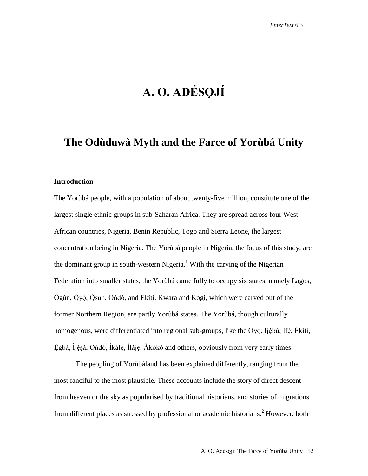# **A. O. ADÉSỌJÍ**

## **The Odùduwà Myth and the Farce of Yorùbá Unity**

#### **Introduction**

The Yorùbá people, with a population of about twenty-five million, constitute one of the largest single ethnic groups in sub-Saharan Africa. They are spread across four West African countries, Nigeria, Benin Republic, Togo and Sierra Leone, the largest concentration being in Nigeria. The Yorùbá people in Nigeria, the focus of this study, are the dominant group in south-western Nigeria.<sup>1</sup> With the carving of the Nigerian Federation into smaller states, the Yorùbá came fully to occupy six states, namely Lagos, Ògùn, Òyó, Òsun, Ondó, and Èkìtì. Kwara and Kogi, which were carved out of the former Northern Region, are partly Yorùbá states. The Yorùbá, though culturally homogenous, were differentiated into regional sub-groups, like the Òyó, Ìjèbú, Ifè, Èkìtì, Ègbá, Ìjèsà, Ondó, Ìkálè, Ìlàje, Àkókó and others, obviously from very early times.

The peopling of Yorùbáland has been explained differently, ranging from the most fanciful to the most plausible. These accounts include the story of direct descent from heaven or the sky as popularised by traditional historians, and stories of migrations from different places as stressed by professional or academic historians. <sup>2</sup> However, both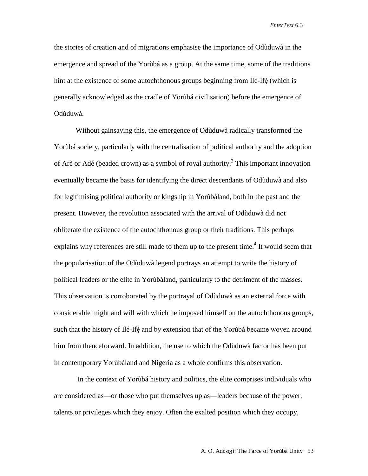the stories of creation and of migrations emphasise the importance of Odùduwà in the emergence and spread of the Yorùbá as a group. At the same time, some of the traditions hint at the existence of some autochthonous groups beginning from Ilé-Ifè(which is generally acknowledged as the cradle of Yorùbá civilisation) before the emergence of Odùduwà.

Without gainsaying this, the emergence of Odùduwà radically transformed the Yorùbá society, particularly with the centralisation of political authority and the adoption of Arè or Adé (beaded crown) as a symbol of royal authority.<sup>3</sup> This important innovation eventually became the basis for identifying the direct descendants of Odùduwà and also for legitimising political authority or kingship in Yorùbáland, both in the past and the present. However, the revolution associated with the arrival of Odùduwà did not obliterate the existence of the autochthonous group or their traditions. This perhaps explains why references are still made to them up to the present time.<sup>4</sup> It would seem that the popularisation of the Odùduwà legend portrays an attempt to write the history of political leaders or the elite in Yorùbáland, particularly to the detriment of the masses. This observation is corroborated by the portrayal of Odùduwà as an external force with considerable might and will with which he imposed himself on the autochthonous groups, such that the history of Ilé-Ifè and by extension that of the Yorùbá became woven around him from thenceforward. In addition, the use to which the Odùduwà factor has been put in contemporary Yorùbáland and Nigeria as a whole confirms this observation.

In the context of Yorùbá history and politics, the elite comprises individuals who are considered as—or those who put themselves up as—leaders because of the power, talents or privileges which they enjoy. Often the exalted position which they occupy,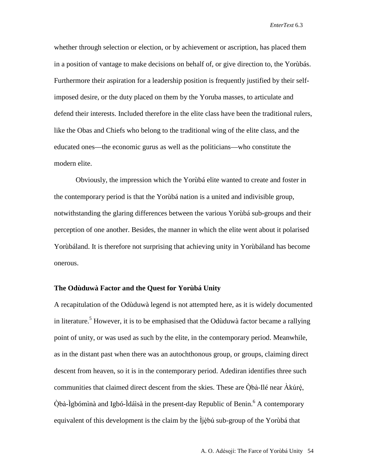whether through selection or election, or by achievement or ascription, has placed them in a position of vantage to make decisions on behalf of, or give direction to, the Yorùbás. Furthermore their aspiration for a leadership position is frequently justified by their selfimposed desire, or the duty placed on them by the Yoruba masses, to articulate and defend their interests. Included therefore in the elite class have been the traditional rulers, like the Obas and Chiefs who belong to the traditional wing of the elite class, and the educated ones—the economic gurus as well as the politicians—who constitute the modern elite.

Obviously, the impression which the Yorùbá elite wanted to create and foster in the contemporary period is that the Yorùbá nation is a united and indivisible group, notwithstanding the glaring differences between the various Yorùbá sub-groups and their perception of one another. Besides, the manner in which the elite went about it polarised Yorùbáland. It is therefore not surprising that achieving unity in Yorùbáland has become onerous.

#### **The Odùduwà Factor and the Quest for Yorùbá Unity**

A recapitulation of the Odùduwà legend is not attempted here, as it is widely documented in literature.<sup>5</sup> However, it is to be emphasised that the Odùduwà factor became a rallying point of unity, or was used as such by the elite, in the contemporary period. Meanwhile, as in the distant past when there was an autochthonous group, or groups, claiming direct descent from heaven, so it is in the contemporary period. Adediran identifies three such communities that claimed direct descent from the skies. These are Òbà-Ilé near Àkúré, Òbà-Ìgbómìnà and Igbó-Ìdáìsà in the present-day Republic of Benin. <sup>6</sup> A contemporary equivalent of this development is the claim by the Ìjèbú sub-group of the Yorùbá that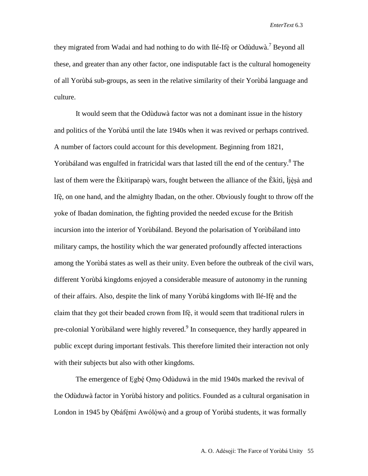they migrated from Wadai and had nothing to do with Ilé-Ifè or Odùduwà.<sup>7</sup> Beyond all these, and greater than any other factor, one indisputable fact is the cultural homogeneity of all Yorùbá sub-groups, as seen in the relative similarity of their Yorùbá language and culture.

It would seem that the Odùduwà factor was not a dominant issue in the history and politics of the Yorùbá until the late 1940s when it was revived or perhaps contrived. A number of factors could account for this development. Beginning from 1821, Yorùbáland was engulfed in fratricidal wars that lasted till the end of the century.<sup>8</sup> The last of them were the Èkìtìparapò wars, fought between the alliance of the Èkìtì, Ìjèsà and Ifè, on one hand, and the almighty Ibadan, on the other. Obviously fought to throw off the yoke of Ibadan domination, the fighting provided the needed excuse for the British incursion into the interior of Yorùbáland. Beyond the polarisation of Yorùbáland into military camps, the hostility which the war generated profoundly affected interactions among the Yorùbá states as well as their unity. Even before the outbreak of the civil wars, different Yorùbá kingdoms enjoyed a considerable measure of autonomy in the running of their affairs. Also, despite the link of many Yorùbá kingdoms with Ilé-Ifè and the claim that they got their beaded crown from Ifè, it would seem that traditional rulers in pre-colonial Yorùbáland were highly revered.<sup>9</sup> In consequence, they hardly appeared in public except during important festivals. This therefore limited their interaction not only with their subjects but also with other kingdoms.

The emergence of Egbé Omo Odùduwà in the mid 1940s marked the revival of the Odùduwà factor in Yorùbá history and politics. Founded as a cultural organisation in London in 1945 by Obáfémi Awólówò and a group of Yorùbá students, it was formally

A. O. Adésojí: The Farce of Yorùbá Unity 55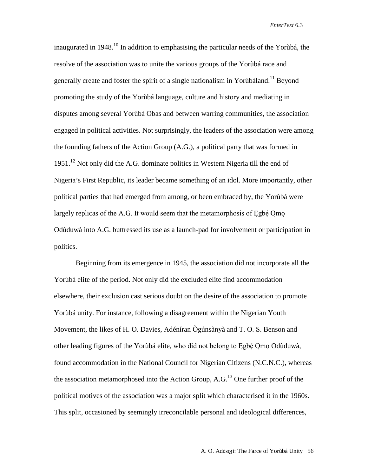inaugurated in 1948.<sup>10</sup> In addition to emphasising the particular needs of the Yorùbá, the resolve of the association was to unite the various groups of the Yorùbá race and generally create and foster the spirit of a single nationalism in Yorubáland.<sup>11</sup> Beyond promoting the study of the Yorùbá language, culture and history and mediating in disputes among several Yorùbá Obas and between warring communities, the association engaged in political activities. Not surprisingly, the leaders of the association were among the founding fathers of the Action Group (A.G.), a political party that was formed in 1951.<sup>12</sup> Not only did the A.G. dominate politics in Western Nigeria till the end of Nigeria's First Republic, its leader became something of an idol. More importantly, other political parties that had emerged from among, or been embraced by, the Yorùbá were largely replicas of the A.G. It would seem that the metamorphosis of Egbé Omo Odùduwà into A.G. buttressed its use as a launch-pad for involvement or participation in politics.

Beginning from its emergence in 1945, the association did not incorporate all the Yorùbá elite of the period. Not only did the excluded elite find accommodation elsewhere, their exclusion cast serious doubt on the desire of the association to promote Yorùbá unity. For instance, following a disagreement within the Nigerian Youth Movement, the likes of H. O. Davies, Adéníran Ògúnsànyà and T. O. S. Benson and other leading figures of the Yorùbá elite, who did not belong to Egbé Omo Odùduwà, found accommodation in the National Council for Nigerian Citizens (N.C.N.C.), whereas the association metamorphosed into the Action Group,  $A.G.<sup>13</sup>$  One further proof of the political motives of the association was a major split which characterised it in the 1960s. This split, occasioned by seemingly irreconcilable personal and ideological differences,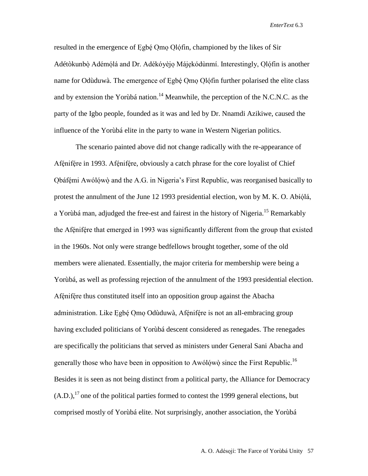resulted in the emergence of Egbé Omo Olófin, championed by the likes of Sir Adétòkunbò Adémólá and Dr. Adékóyèjo Májekódùnmí. Interestingly, Olófin is another name for Odùduwà. The emergence of Egbé Omo Olófin further polarised the elite class and by extension the Yorùbá nation.<sup>14</sup> Meanwhile, the perception of the N.C.N.C. as the party of the Igbo people, founded as it was and led by Dr. Nnamdi Azikiwe, caused the influence of the Yorùbá elite in the party to wane in Western Nigerian politics.

The scenario painted above did not change radically with the re-appearance of Afénifére in 1993. Afénifére, obviously a catch phrase for the core loyalist of Chief Obáfémi Awólówò and the A.G. in Nigeria's First Republic, was reorganised basically to protest the annulment of the June 12 1993 presidential election, won by M. K. O. Abíólá, a Yorùbá man, adjudged the free-est and fairest in the history of Nigeria.<sup>15</sup> Remarkably the Afénifére that emerged in 1993 was significantly different from the group that existed in the 1960s. Not only were strange bedfellows brought together, some of the old members were alienated. Essentially, the major criteria for membership were being a Yorùbá, as well as professing rejection of the annulment of the 1993 presidential election. Afénifére thus constituted itself into an opposition group against the Abacha administration. Like Egbé Omo Odùduwà, Afénifére is not an all-embracing group having excluded politicians of Yorùbá descent considered as renegades. The renegades are specifically the politicians that served as ministers under General Sani Abacha and generally those who have been in opposition to Awólówò since the First Republic.<sup>16</sup> Besides it is seen as not being distinct from a political party, the Alliance for Democracy  $(A.D.)$ <sup>17</sup> one of the political parties formed to contest the 1999 general elections, but comprised mostly of Yorùbá elite. Not surprisingly, another association, the Yorùbá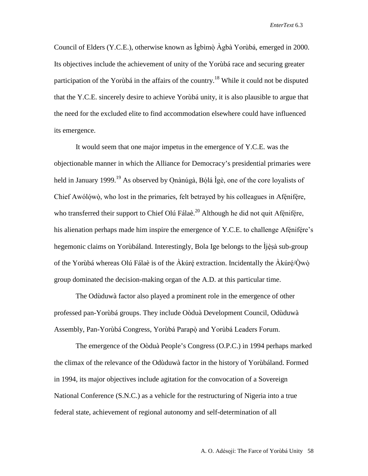Council of Elders (Y.C.E.), otherwise known as Ìgbìmò Àgbà Yorùbá, emerged in 2000. Its objectives include the achievement of unity of the Yorùbá race and securing greater participation of the Yorùbá in the affairs of the country.<sup>18</sup> While it could not be disputed that the Y.C.E. sincerely desire to achieve Yorùbá unity, it is also plausible to argue that the need for the excluded elite to find accommodation elsewhere could have influenced its emergence.

It would seem that one major impetus in the emergence of Y.C.E. was the objectionable manner in which the Alliance for Democracy's presidential primaries were held in January 1999.<sup>19</sup> As observed by Onànúgà, Bólá Ìgè, one of the core loyalists of Chief Awólówò, who lost in the primaries, felt betrayed by his colleagues in Afénifére, who transferred their support to Chief Olú Fálaè.<sup>20</sup> Although he did not quit Afénifére, his alienation perhaps made him inspire the emergence of Y.C.E. to challenge Afénifére's hegemonic claims on Yorùbáland. Interestingly, Bola Ige belongs to the Ìjèsà sub-group of the Yorùbá whereas Olú Fálaè is of the Àkúré extraction. Incidentally the Àkúré/Òwò group dominated the decision-making organ of the A.D. at this particular time.

The Odùduwà factor also played a prominent role in the emergence of other professed pan-Yorùbá groups. They include Oòduà Development Council, Odùduwà Assembly, Pan-Yorùbá Congress, Yorùbá Parapò and Yorùbá Leaders Forum.

The emergence of the Oòduà People's Congress (O.P.C.) in 1994 perhaps marked the climax of the relevance of the Odùduwà factor in the history of Yorùbáland. Formed in 1994, its major objectives include agitation for the convocation of a Sovereign National Conference (S.N.C.) as a vehicle for the restructuring of Nigeria into a true federal state, achievement of regional autonomy and self-determination of all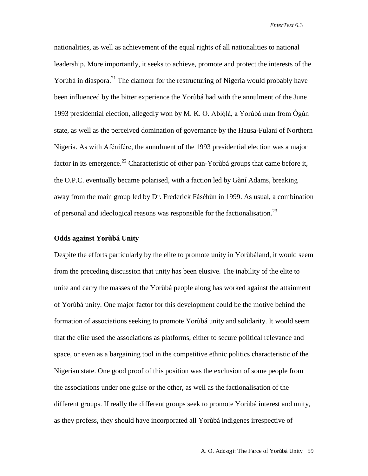nationalities, as well as achievement of the equal rights of all nationalities to national leadership. More importantly, it seeks to achieve, promote and protect the interests of the Yorùbá in diaspora.<sup>21</sup> The clamour for the restructuring of Nigeria would probably have been influenced by the bitter experience the Yorùbá had with the annulment of the June 1993 presidential election, allegedly won by M. K. O. Abíólá, a Yorùbá man from Ògùn state, as well as the perceived domination of governance by the Hausa-Fulani of Northern Nigeria. As with Afénifére, the annulment of the 1993 presidential election was a major factor in its emergence.<sup>22</sup> Characteristic of other pan-Yorùbá groups that came before it, the O.P.C. eventually became polarised, with a faction led by Gàní Adams, breaking away from the main group led by Dr. Frederick Fáséhùn in 1999. As usual, a combination of personal and ideological reasons was responsible for the factionalisation.<sup>23</sup>

#### **Odds against Yorùbá Unity**

Despite the efforts particularly by the elite to promote unity in Yorùbáland, it would seem from the preceding discussion that unity has been elusive. The inability of the elite to unite and carry the masses of the Yorùbá people along has worked against the attainment of Yorùbá unity. One major factor for this development could be the motive behind the formation of associations seeking to promote Yorùbá unity and solidarity. It would seem that the elite used the associations as platforms, either to secure political relevance and space, or even as a bargaining tool in the competitive ethnic politics characteristic of the Nigerian state. One good proof of this position was the exclusion of some people from the associations under one guise or the other, as well as the factionalisation of the different groups. If really the different groups seek to promote Yorùbá interest and unity, as they profess, they should have incorporated all Yorùbá indigenes irrespective of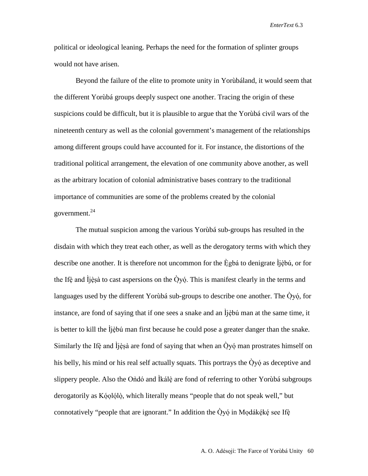political or ideological leaning. Perhaps the need for the formation of splinter groups would not have arisen.

Beyond the failure of the elite to promote unity in Yorùbáland, it would seem that the different Yorùbá groups deeply suspect one another. Tracing the origin of these suspicions could be difficult, but it is plausible to argue that the Yorùbá civil wars of the nineteenth century as well as the colonial government's management of the relationships among different groups could have accounted for it. For instance, the distortions of the traditional political arrangement, the elevation of one community above another, as well as the arbitrary location of colonial administrative bases contrary to the traditional importance of communities are some of the problems created by the colonial government. 24

The mutual suspicion among the various Yorùbá sub-groups has resulted in the disdain with which they treat each other, as well as the derogatory terms with which they describe one another. It is therefore not uncommon for the Ègbá to denigrate Ìjèbú, or for the Ifè and  $\hat{I}$ jèsà to cast aspersions on the Òyó. This is manifest clearly in the terms and languages used by the different Yorùbá sub-groups to describe one another. The  $\dot{Q}y\dot{Q}$ , for instance, are fond of saying that if one sees a snake and an Ìjèbú man at the same time, it is better to kill the Ìjèbú man first because he could pose a greater danger than the snake. Similarly the Ifè and Ìjèsà are fond of saying that when an Òyóman prostrates himself on his belly, his mind or his real self actually squats. This portrays the Òyó as deceptive and slippery people. Also the Ondó and Ìkálè are fond of referring to other Yorùbá subgroups derogatorily as Kóolólò, which literally means "people that do not speak well," but connotatively "people that are ignorant." In addition the  $\dot{O}$ yó in Modákéké see Ifè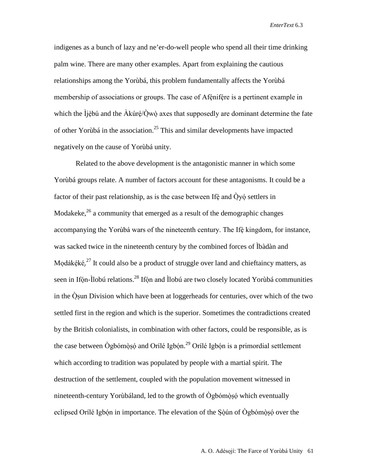indigenes as a bunch of lazy and ne'er-do-well people who spend all their time drinking palm wine. There are many other examples. Apart from explaining the cautious relationships among the Yorùbá, this problem fundamentally affects the Yorùbá membership of associations or groups. The case of Afénifére is a pertinent example in which the Ìjèbú and the Àkúré/Òwò axes that supposedly are dominant determine the fate of other Yorùbá in the association. <sup>25</sup> This and similar developments have impacted negatively on the cause of Yorùbá unity.

Related to the above development is the antagonistic manner in which some Yorùbá groups relate. A number of factors account for these antagonisms. It could be a factor of their past relationship, as is the case between Ife and  $\dot{Q}y\dot{\phi}$  settlers in Modakeke, $^{26}$  a community that emerged as a result of the demographic changes accompanying the Yorùbá wars of the nineteenth century. The Ifè kingdom, for instance, was sacked twice in the nineteenth century by the combined forces of Ìbàdàn and Modákéké.<sup>27</sup> It could also be a product of struggle over land and chieftaincy matters, as seen in Ifón-Ìlobú relations.<sup>28</sup> Ifón and Ìlobú are two closely located Yorùbá communities in the Òsun Division which have been at loggerheads for centuries, over which of the two settled first in the region and which is the superior. Sometimes the contradictions created by the British colonialists, in combination with other factors, could be responsible, as is the case between Ògbómòsó and Orílé Igbón.<sup>29</sup> Orílé Igbón is a primordial settlement which according to tradition was populated by people with a martial spirit. The destruction of the settlement, coupled with the population movement witnessed in nineteenth-century Yorùbáland, led to the growth of Ògbómòsówhich eventually eclipsed Orílé Igbón in importance. The elevation of the Sòún of Ògbómòsó over the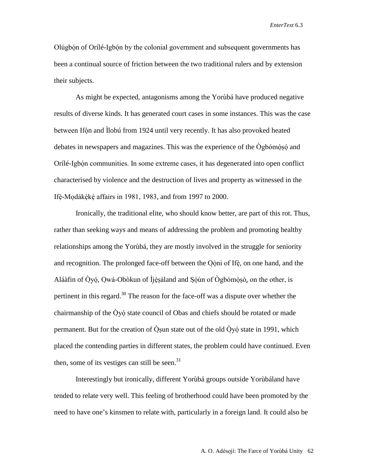Olúgbón of Orílé-Igbón by the colonial government and subsequent governments has been a continual source of friction between the two traditional rulers and by extension their subjects.

As might be expected, antagonisms among the Yorùbá have produced negative results of diverse kinds. It has generated court cases in some instances. This was the case between Ifón and Ìlobú from 1924 until very recently. It has also provoked heated debates in newspapers and magazines. This was the experience of the Ògbómòsó and Orílé-Igbón communities. In some extreme cases, it has degenerated into open conflict characterised by violence and the destruction of lives and property as witnessed in the Ifè-Modákéké affairs in 1981, 1983, and from 1997 to 2000.

Ironically, the traditional elite, who should know better, are part of this rot. Thus, rather than seeking ways and means of addressing the problem and promoting healthy relationships among the Yorùbá, they are mostly involved in the struggle for seniority and recognition. The prolonged face-off between the Oòni of Ifè, on one hand, and the Aláàfin of Òyó, Owá-Obòkun of Ìjèsàland and Sòún of Ògbómòsó, on the other, is pertinent in this regard.<sup>30</sup> The reason for the face-off was a dispute over whether the chairmanship of the  $\dot{O}$ yó state council of Obas and chiefs should be rotated or made permanent. But for the creation of  $\dot{O}$ sun state out of the old  $\dot{O}$ yó state in 1991, which placed the contending parties in different states, the problem could have continued. Even then, some of its vestiges can still be seen. $31$ 

Interestingly but ironically, different Yorùbá groups outside Yorùbáland have tended to relate very well. This feeling of brotherhood could have been promoted by the need to have one's kinsmen to relate with, particularly in a foreign land. It could also be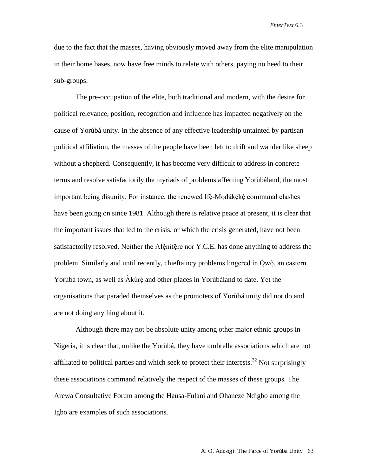due to the fact that the masses, having obviously moved away from the elite manipulation in their home bases, now have free minds to relate with others, paying no heed to their sub-groups.

The pre-occupation of the elite, both traditional and modern, with the desire for political relevance, position, recognition and influence has impacted negatively on the cause of Yorùbá unity. In the absence of any effective leadership untainted by partisan political affiliation, the masses of the people have been left to drift and wander like sheep without a shepherd. Consequently, it has become very difficult to address in concrete terms and resolve satisfactorily the myriads of problems affecting Yorùbáland, the most important being disunity. For instance, the renewed Ifè-Modákéké communal clashes have been going on since 1981. Although there is relative peace at present, it is clear that the important issues that led to the crisis, or which the crisis generated, have not been satisfactorily resolved. Neither the Afénifére nor Y.C.E. has done anything to address the problem. Similarly and until recently, chieftaincy problems lingered in Òwò, an eastern Yorùbá town, as well as Àkúré and other places in Yorùbáland to date. Yet the organisations that paraded themselves as the promoters of Yorùbá unity did not do and are not doing anything about it.

Although there may not be absolute unity among other major ethnic groups in Nigeria, it is clear that, unlike the Yorùbá, they have umbrella associations which are not affiliated to political parties and which seek to protect their interests.<sup>32</sup> Not surprisingly these associations command relatively the respect of the masses of these groups. The Arewa Consultative Forum among the Hausa-Fulani and Ohaneze Ndigbo among the Igbo are examples of such associations.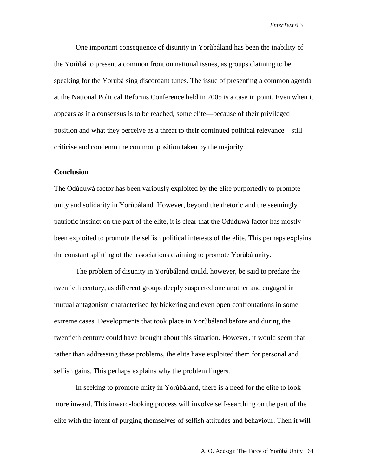One important consequence of disunity in Yorùbáland has been the inability of the Yorùbá to present a common front on national issues, as groups claiming to be speaking for the Yorùbá sing discordant tunes. The issue of presenting a common agenda at the National Political Reforms Conference held in 2005 is a case in point. Even when it appears as if a consensus is to be reached, some elite—because of their privileged position and what they perceive as a threat to their continued political relevance—still criticise and condemn the common position taken by the majority.

### **Conclusion**

The Odùduwà factor has been variously exploited by the elite purportedly to promote unity and solidarity in Yorùbáland. However, beyond the rhetoric and the seemingly patriotic instinct on the part of the elite, it is clear that the Odùduwà factor has mostly been exploited to promote the selfish political interests of the elite. This perhaps explains the constant splitting of the associations claiming to promote Yorùbá unity.

The problem of disunity in Yorùbáland could, however, be said to predate the twentieth century, as different groups deeply suspected one another and engaged in mutual antagonism characterised by bickering and even open confrontations in some extreme cases. Developments that took place in Yorùbáland before and during the twentieth century could have brought about this situation. However, it would seem that rather than addressing these problems, the elite have exploited them for personal and selfish gains. This perhaps explains why the problem lingers.

In seeking to promote unity in Yorùbáland, there is a need for the elite to look more inward. This inward-looking process will involve self-searching on the part of the elite with the intent of purging themselves of selfish attitudes and behaviour. Then it will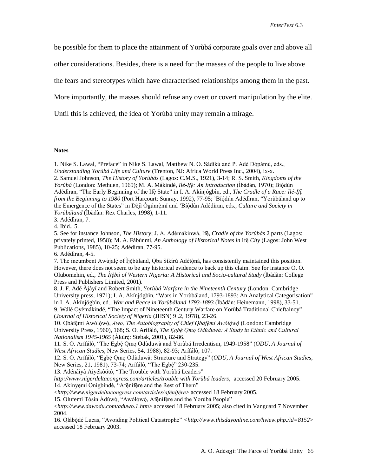be possible for them to place the attainment of Yorùbá corporate goals over and above all

other considerations. Besides, there is a need for the masses of the people to live above

the fears and stereotypes which have characterised relationships among them in the past.

More importantly, the masses should refuse any overt or covert manipulation by the elite.

Until this is achieved, the idea of Yorùbá unity may remain a mirage.

#### **Notes**

1. Nike S. Lawal, "Preface" in Nike S. Lawal, Matthew N. O. Sádíkù and P. Adé Dòpámú, eds., *Understanding Yorùbá Life and Culture* (Trenton, NJ: Africa World Press Inc., 2004), ix-x. 2. Samuel Johnson, *The History of Yorùbás* (Lagos: C.M.S., 1921), 3-14; R. S. Smith, *Kingdoms of the Yorùbá* (London: Methuen, 1969); M. A. Mákindé, *Ilé-Ifè: An Introduction* (Ìbàdàn, 1970); Bíódún Adédìran, "The Early Beginning of the Ifè State" in I. A. Akínjógbìn, ed., *The Cradle of a Race: Ilé-Ifè from the Beginning to 1980* (Port Harcourt: Sunray, 1992), 77-95; 'Bíódún Adédìran, "Yorùbáland up to the Emergence of the States" in Dèjì Ògúnrèmí and 'Bíódún Adédìran, eds., *Culture and Society in Yorùbáland* (Ìbàdàn: Rex Charles, 1998), 1-11.

3. Adédìran, 7.

4. Ibid*.*, 5.

5. See for instance Johnson, *The History*; J. A. Adémákinwá, Ifè*, Cradle of the Yorùbás* 2 parts (Lagos: privately printed, 1958); M. A. Fábùnmi, *An Anthology of Historical Notes in* Ifè*City* (Lagos: John West Publications, 1985), 10-25; Adédìran, 77-95.

6. Adédìran, 4-5.

7. The incumbent Awùjalè of Ìjèbúland, Oba Síkírù Adétònà, has consistently maintained this position. However, there does not seem to be any historical evidence to back up this claim. See for instance O. O. Olubomehin, ed., *The Ìjèbú of Western Nigeria: A Historical and Socio-cultural Study* (Ìbàdàn: College Press and Publishers Limited, 2001).

8. J. F. Adé Àjàyí and Robert Smith, *Yorùbá Warfare in the Nineteenth Century* (London: Cambridge University press, 1971); I. A. Akínjógbìn, "Wars in Yorùbáland, 1793-1893: An Analytical Categorisation" in I. A. Akínjógbìn, ed., *War and Peace in Yorùbáland 1793-1893* (Ìbàdàn: Heinemann, 1998), 33-51. 9. Wálé Oyèmákindé, "The Impact of Nineteenth Century Warfare on Yorùbá Traditional Chieftaincy" (*Journal of Historical Society of Nigeria* (JHSN) 9 .2, 1978), 23-26.

10. Obáfémi Awólówò, *Awo, The Autobiography of Chief Obáfémi Awólówò*(London: Cambridge University Press, 1960), 168; S. O. Arífálò, *The Egbé Omo Odùduwà: A Study in Ethnic and Cultural Nationalism 1945-1965* (Àkúré: Stebak, 2001), 82-86.

11. S. O. Arífálò, "The Egbé Omo Odùduwà and Yorùbá Irredentism, 1949-1958" (*ODU, A Journal of West African Studies,* New Series, 54, 1988), 82-93; Arífálò, 107.

12. S. O. Arífálò, "Egbé Omo Odùduwà: Structure and Strategy" (*ODU, A Journal of West African Studies,* New Series, 21, 1981), 73-74; Arífálò, "The Egbé" 230-235.

13. Adénáiyà Aiyékòótó, "The Trouble with Yorùbá Leaders"

*[http://www.nigerdeltacongress.com/articles/trouble with Yorùbá leaders;](http://www.nigerdeltacongress.com/articles/trouble%20with%20Yoruba%20leaders;)* accessed 20 February 2005. 14. Akínyemí Onígbíndé, "Afénifére and the Rest of Them"

<*http;//www.nigerdeltacongress.com/articles/afénifére*> accessed 18 February 2005.

15. Olufemi Tósìn Àdúwò, "Awólówò, Afénifére and the Yorùbá People"

<*http://www.dawodu.com/aduwo.1.htm*> accessed 18 February 2005; also cited in Vanguard 7 November 2004.

16. Olábòdé Lucas, "Avoiding Political Catastrophe" *<http://www.thisdayonline.com/hview.php./id=8152*> accessed 18 February 2003.